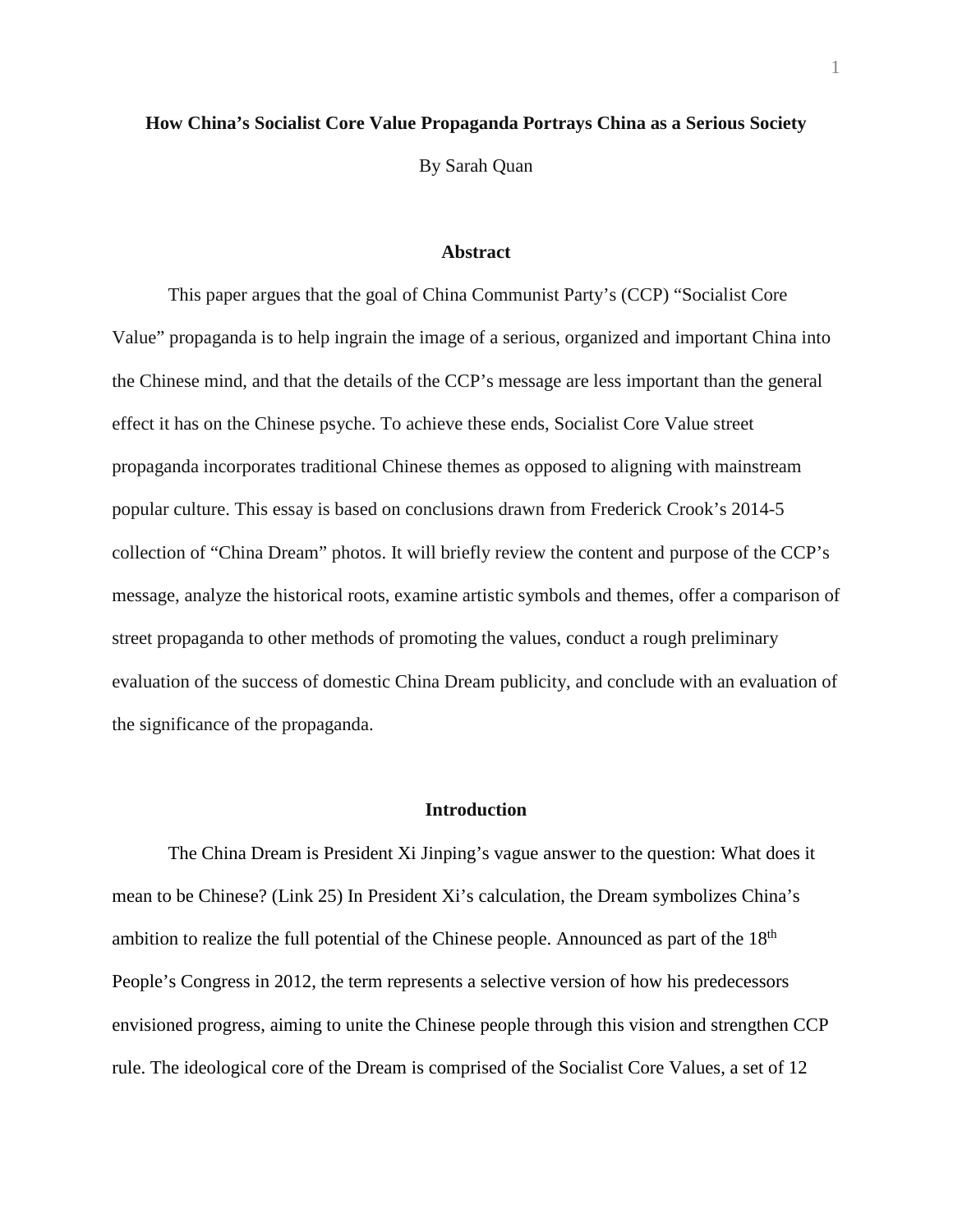## **How China's Socialist Core Value Propaganda Portrays China as a Serious Society**

By Sarah Quan

#### **Abstract**

This paper argues that the goal of China Communist Party's (CCP) "Socialist Core Value" propaganda is to help ingrain the image of a serious, organized and important China into the Chinese mind, and that the details of the CCP's message are less important than the general effect it has on the Chinese psyche. To achieve these ends, Socialist Core Value street propaganda incorporates traditional Chinese themes as opposed to aligning with mainstream popular culture. This essay is based on conclusions drawn from Frederick Crook's 2014-5 collection of "China Dream" photos. It will briefly review the content and purpose of the CCP's message, analyze the historical roots, examine artistic symbols and themes, offer a comparison of street propaganda to other methods of promoting the values, conduct a rough preliminary evaluation of the success of domestic China Dream publicity, and conclude with an evaluation of the significance of the propaganda.

#### **Introduction**

The China Dream is President Xi Jinping's vague answer to the question: What does it mean to be Chinese? (Link 25) In President Xi's calculation, the Dream symbolizes China's ambition to realize the full potential of the Chinese people. Announced as part of the 18<sup>th</sup> People's Congress in 2012, the term represents a selective version of how his predecessors envisioned progress, aiming to unite the Chinese people through this vision and strengthen CCP rule. The ideological core of the Dream is comprised of the Socialist Core Values, a set of 12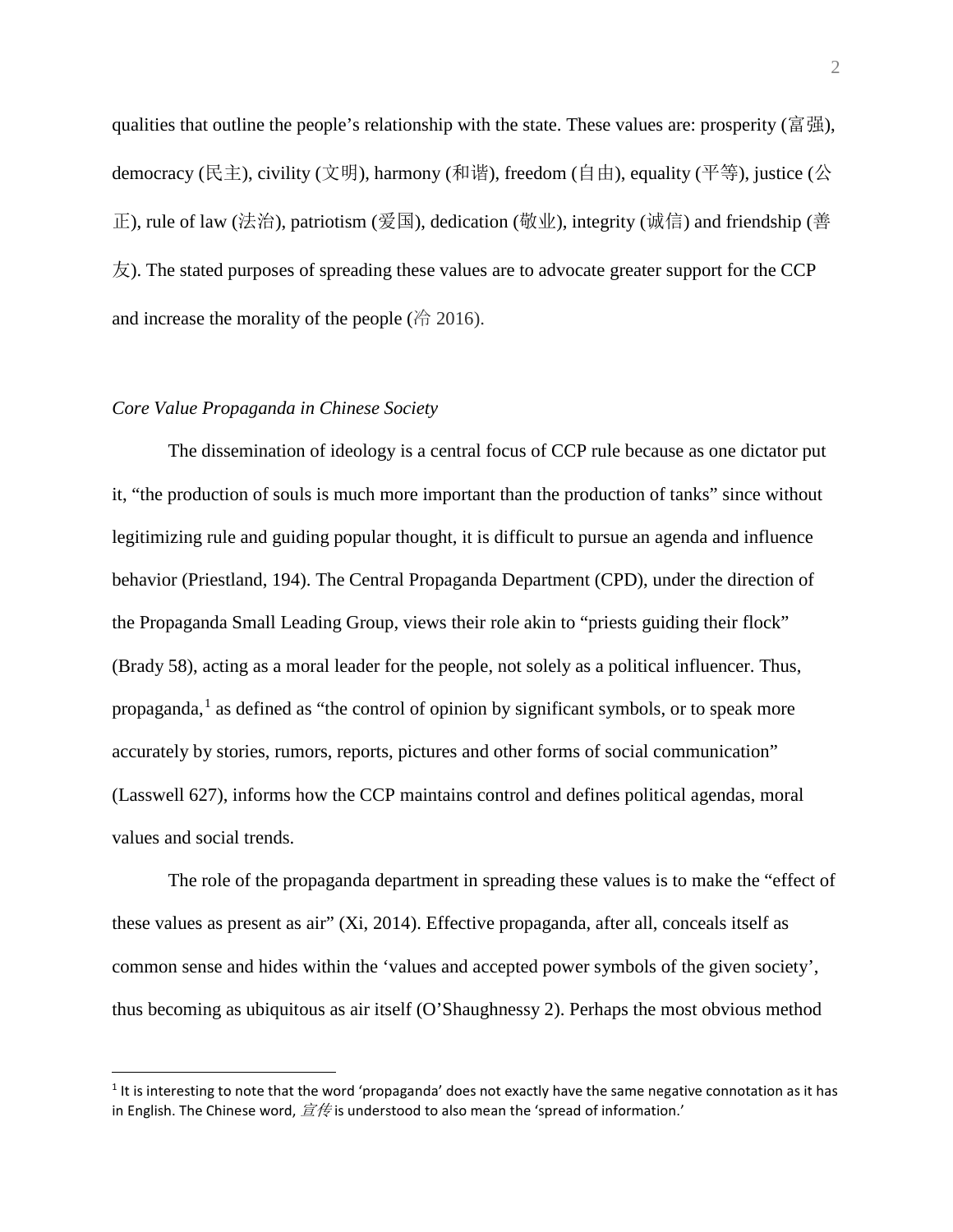qualities that outline the people's relationship with the state. These values are: prosperity (富强), democracy (民主), civility (文明), harmony (和谐), freedom (自由), equality (平等), justice (公 正), rule of law (法治), patriotism (爱国), dedication (敬业), integrity (诚信) and friendship (善  $\overline{\mathcal{R}}$ ). The stated purposes of spreading these values are to advocate greater support for the CCP and increase the morality of the people ( $\overset{\wedge}{\oplus}$  2016).

# *Core Value Propaganda in Chinese Society*

 $\overline{a}$ 

The dissemination of ideology is a central focus of CCP rule because as one dictator put it, "the production of souls is much more important than the production of tanks" since without legitimizing rule and guiding popular thought, it is difficult to pursue an agenda and influence behavior (Priestland, 194). The Central Propaganda Department (CPD), under the direction of the Propaganda Small Leading Group, views their role akin to "priests guiding their flock" (Brady 58), acting as a moral leader for the people, not solely as a political influencer. Thus, propaganda, $<sup>1</sup>$  $<sup>1</sup>$  $<sup>1</sup>$  as defined as "the control of opinion by significant symbols, or to speak more</sup> accurately by stories, rumors, reports, pictures and other forms of social communication" (Lasswell 627), informs how the CCP maintains control and defines political agendas, moral values and social trends.

The role of the propaganda department in spreading these values is to make the "effect of these values as present as air" (Xi, 2014). Effective propaganda, after all, conceals itself as common sense and hides within the 'values and accepted power symbols of the given society', thus becoming as ubiquitous as air itself (O'Shaughnessy 2). Perhaps the most obvious method

<span id="page-1-0"></span> $1$  It is interesting to note that the word 'propaganda' does not exactly have the same negative connotation as it has in English. The Chinese word,  $\hat{\mathbf{z}}$   $\notin$  is understood to also mean the 'spread of information.'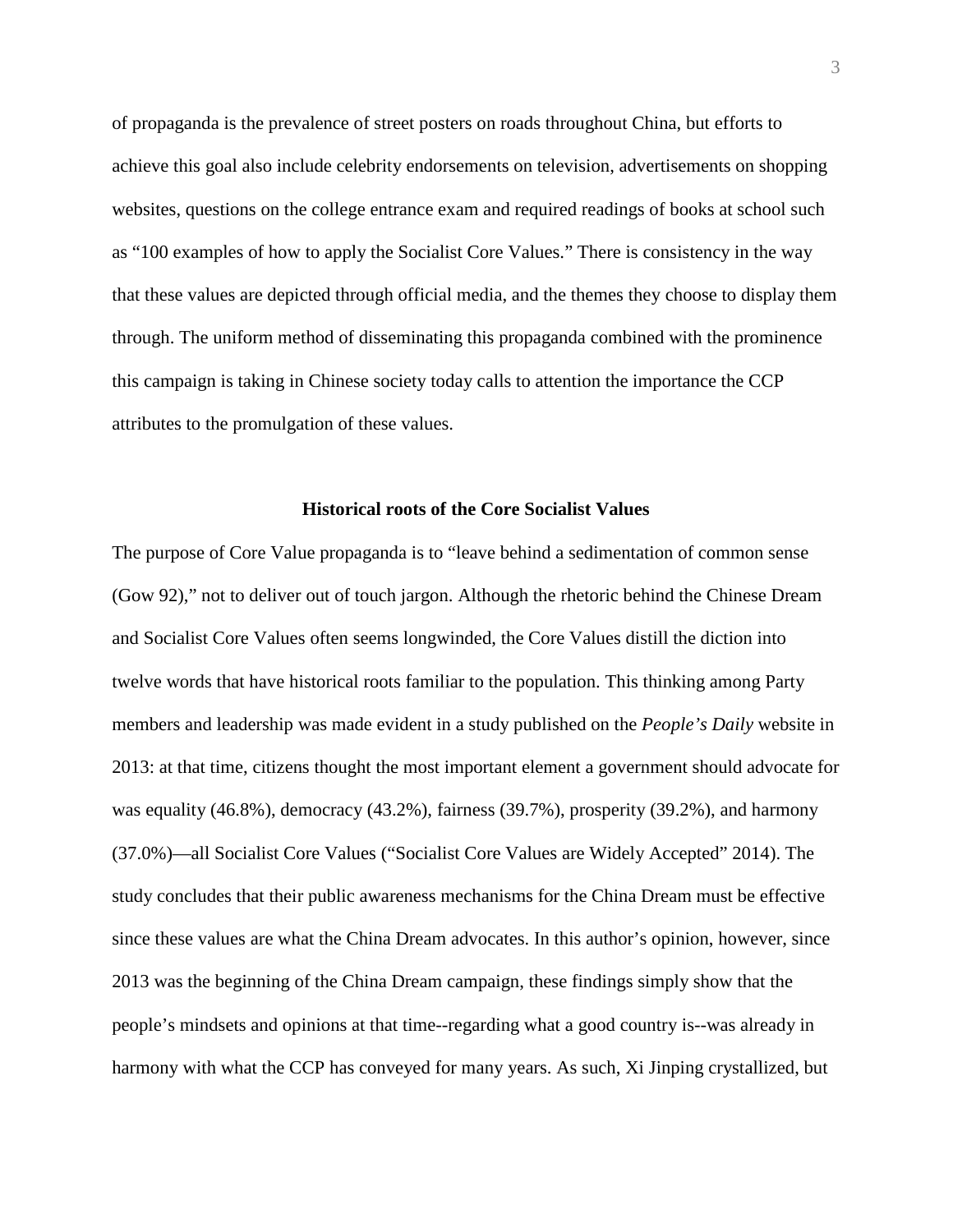of propaganda is the prevalence of street posters on roads throughout China, but efforts to achieve this goal also include celebrity endorsements on television, advertisements on shopping websites, questions on the college entrance exam and required readings of books at school such as "100 examples of how to apply the Socialist Core Values." There is consistency in the way that these values are depicted through official media, and the themes they choose to display them through. The uniform method of disseminating this propaganda combined with the prominence this campaign is taking in Chinese society today calls to attention the importance the CCP attributes to the promulgation of these values.

#### **Historical roots of the Core Socialist Values**

The purpose of Core Value propaganda is to "leave behind a sedimentation of common sense (Gow 92)," not to deliver out of touch jargon. Although the rhetoric behind the Chinese Dream and Socialist Core Values often seems longwinded, the Core Values distill the diction into twelve words that have historical roots familiar to the population. This thinking among Party members and leadership was made evident in a study published on the *People's Daily* website in 2013: at that time, citizens thought the most important element a government should advocate for was equality (46.8%), democracy (43.2%), fairness (39.7%), prosperity (39.2%), and harmony (37.0%)—all Socialist Core Values ("Socialist Core Values are Widely Accepted" 2014). The study concludes that their public awareness mechanisms for the China Dream must be effective since these values are what the China Dream advocates. In this author's opinion, however, since 2013 was the beginning of the China Dream campaign, these findings simply show that the people's mindsets and opinions at that time--regarding what a good country is--was already in harmony with what the CCP has conveyed for many years. As such, Xi Jinping crystallized, but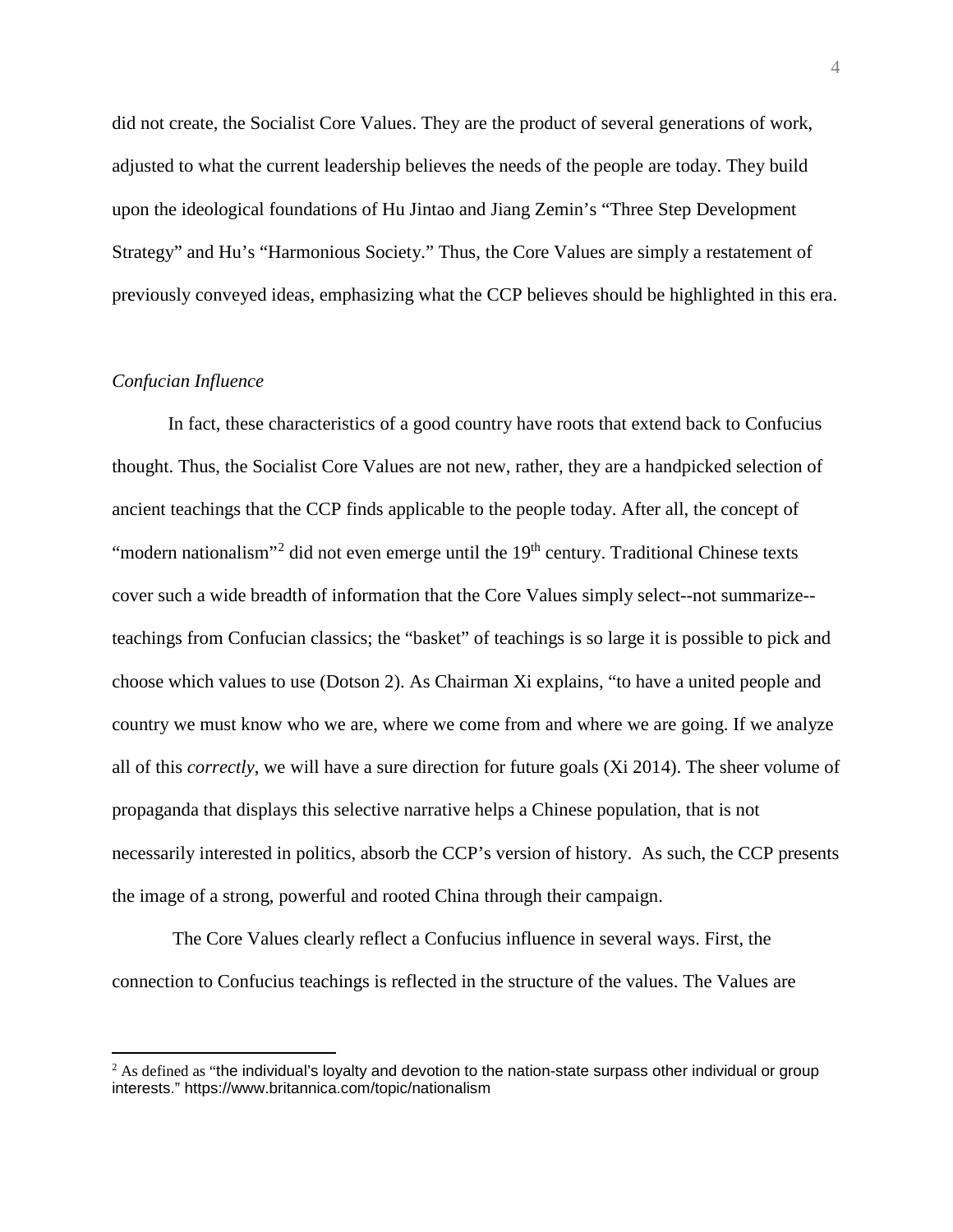did not create, the Socialist Core Values. They are the product of several generations of work, adjusted to what the current leadership believes the needs of the people are today. They build upon the ideological foundations of Hu Jintao and Jiang Zemin's "Three Step Development Strategy" and Hu's "Harmonious Society." Thus, the Core Values are simply a restatement of previously conveyed ideas, emphasizing what the CCP believes should be highlighted in this era.

# *Confucian Influence*

In fact, these characteristics of a good country have roots that extend back to Confucius thought. Thus, the Socialist Core Values are not new, rather, they are a handpicked selection of ancient teachings that the CCP finds applicable to the people today. After all, the concept of "modern nationalism"<sup>[2](#page-3-0)</sup> did not even emerge until the  $19<sup>th</sup>$  century. Traditional Chinese texts cover such a wide breadth of information that the Core Values simply select--not summarize- teachings from Confucian classics; the "basket" of teachings is so large it is possible to pick and choose which values to use (Dotson 2). As Chairman Xi explains, "to have a united people and country we must know who we are, where we come from and where we are going. If we analyze all of this *correctly*, we will have a sure direction for future goals (Xi 2014). The sheer volume of propaganda that displays this selective narrative helps a Chinese population, that is not necessarily interested in politics, absorb the CCP's version of history. As such, the CCP presents the image of a strong, powerful and rooted China through their campaign.

The Core Values clearly reflect a Confucius influence in several ways. First, the connection to Confucius teachings is reflected in the structure of the values. The Values are

<span id="page-3-0"></span> $<sup>2</sup>$  As defined as "the individual's loyalty and devotion to the nation-state surpass other individual or group</sup> interests." https://www.britannica.com/topic/nationalism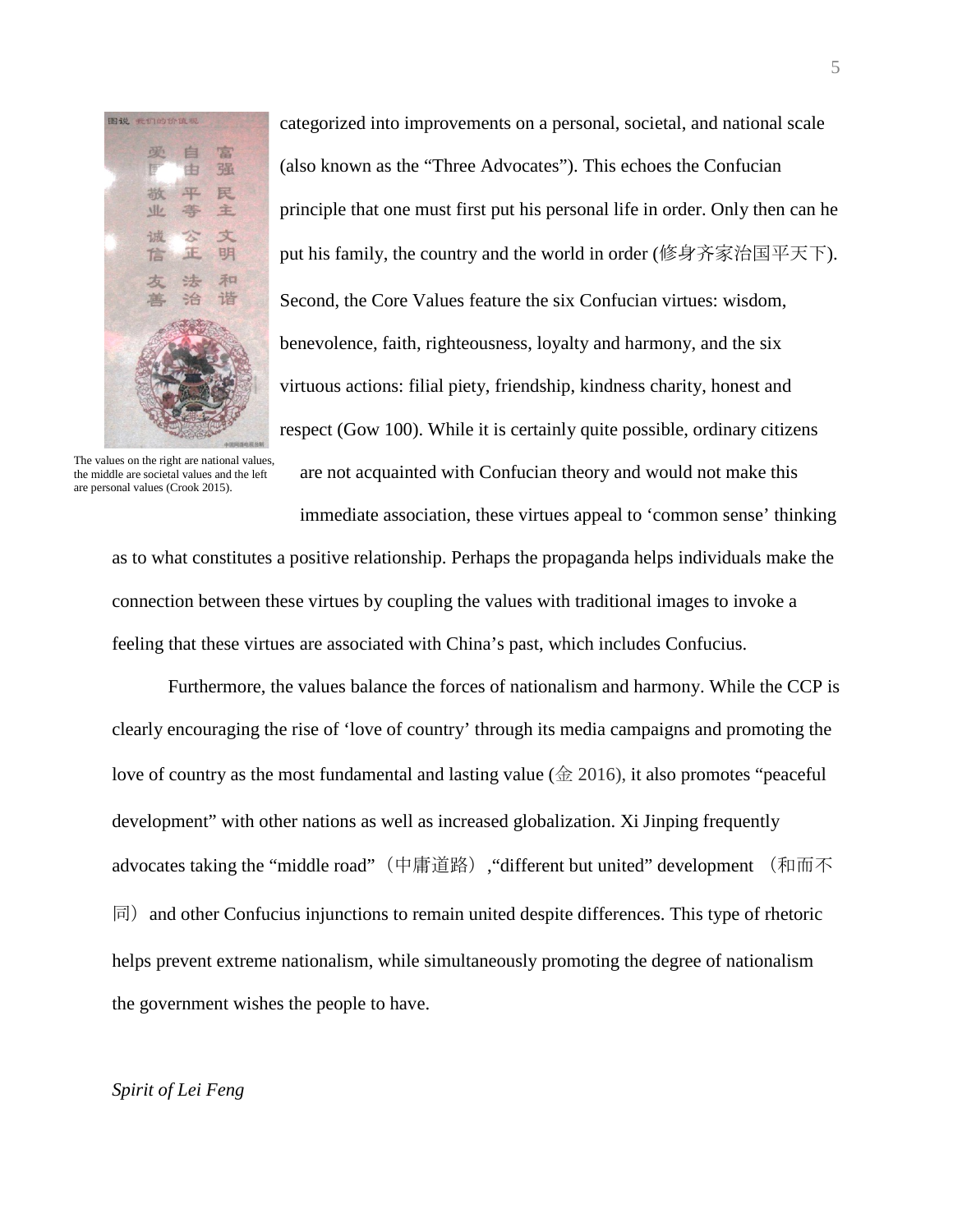

categorized into improvements on a personal, societal, and national scale (also known as the "Three Advocates"). This echoes the Confucian principle that one must first put his personal life in order. Only then can he put his family, the country and the world in order (修身齐家治国平天下). Second, the Core Values feature the six Confucian virtues: wisdom, benevolence, faith, righteousness, loyalty and harmony, and the six virtuous actions: filial piety, friendship, kindness charity, honest and respect (Gow 100). While it is certainly quite possible, ordinary citizens

The values on the right are national values, the middle are societal values and the left are personal values (Crook 2015).

are not acquainted with Confucian theory and would not make this immediate association, these virtues appeal to 'common sense' thinking

as to what constitutes a positive relationship. Perhaps the propaganda helps individuals make the connection between these virtues by coupling the values with traditional images to invoke a feeling that these virtues are associated with China's past, which includes Confucius.

Furthermore, the values balance the forces of nationalism and harmony. While the CCP is clearly encouraging the rise of 'love of country' through its media campaigns and promoting the love of country as the most fundamental and lasting value ( $\hat{\text{ } }2016$ ), it also promotes "peaceful development" with other nations as well as increased globalization. Xi Jinping frequently advocates taking the "middle road" (中庸道路), "different but united" development (和而不  $|\overline{F}|$  and other Confucius injunctions to remain united despite differences. This type of rhetoric helps prevent extreme nationalism, while simultaneously promoting the degree of nationalism the government wishes the people to have.

# *Spirit of Lei Feng*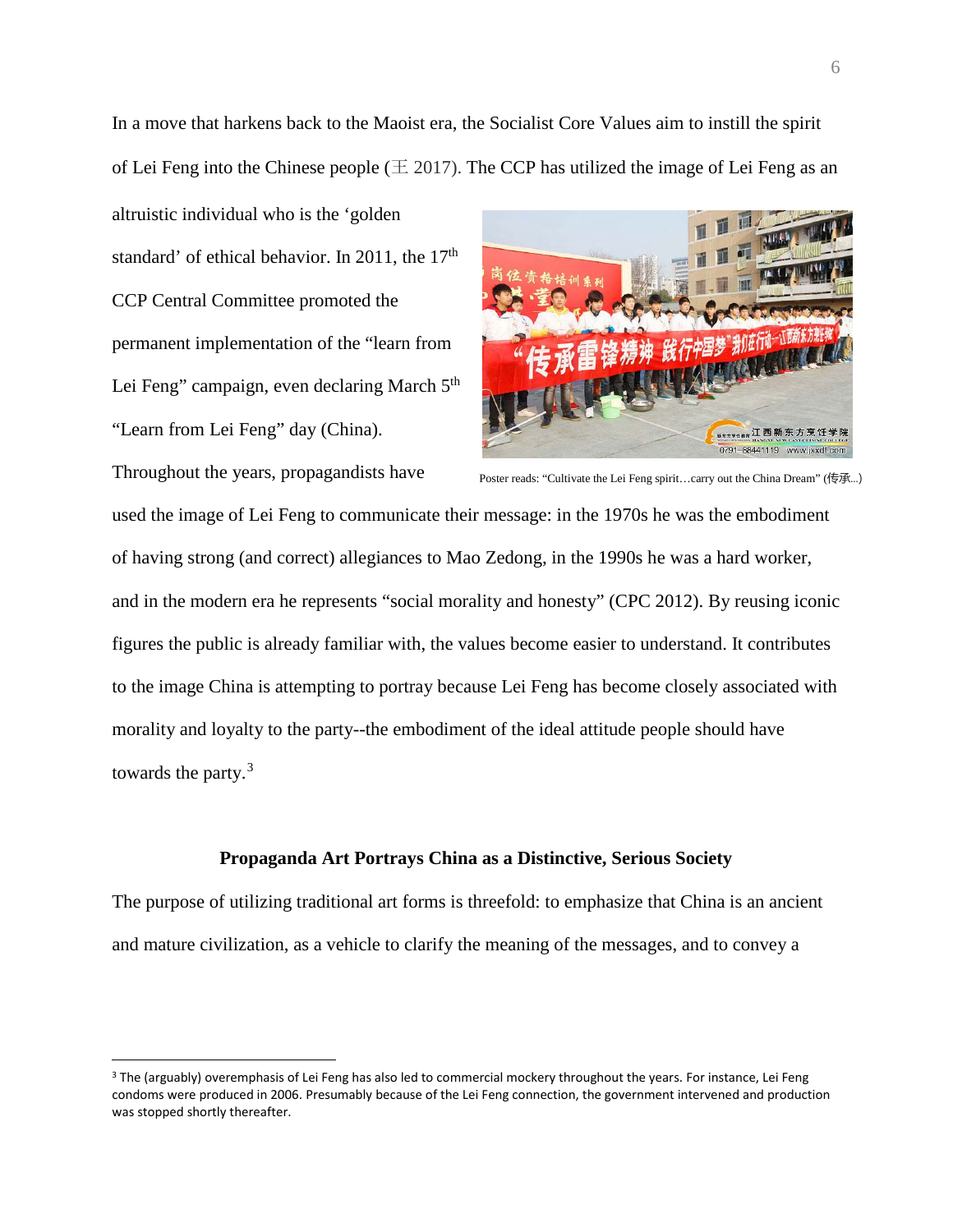In a move that harkens back to the Maoist era, the Socialist Core Values aim to instill the spirit of Lei Feng into the Chinese people ( $\pm 2017$ ). The CCP has utilized the image of Lei Feng as an

altruistic individual who is the 'golden standard' of ethical behavior. In 2011, the 17<sup>th</sup> CCP Central Committee promoted the permanent implementation of the "learn from Lei Feng" campaign, even declaring March 5<sup>th</sup> "Learn from Lei Feng" day (China).

 $\overline{a}$ 



Throughout the years, propagandists have used the image of Lei Feng to communicate their message: in the 1970s he was the embodiment of having strong (and correct) allegiances to Mao Zedong, in the 1990s he was a hard worker, and in the modern era he represents "social morality and honesty" (CPC 2012). By reusing iconic figures the public is already familiar with, the values become easier to understand. It contributes to the image China is attempting to portray because Lei Feng has become closely associated with morality and loyalty to the party--the embodiment of the ideal attitude people should have towards the party.<sup>[3](#page-5-0)</sup> Poster reads: "Cultivate the Lei Feng spirit...carry out the China Dream" (传承...)

### **Propaganda Art Portrays China as a Distinctive, Serious Society**

The purpose of utilizing traditional art forms is threefold: to emphasize that China is an ancient and mature civilization, as a vehicle to clarify the meaning of the messages, and to convey a

<span id="page-5-0"></span><sup>&</sup>lt;sup>3</sup> The (arguably) overemphasis of Lei Feng has also led to commercial mockery throughout the years. For instance, Lei Feng condoms were produced in 2006. Presumably because of the Lei Feng connection, the government intervened and production was stopped shortly thereafter.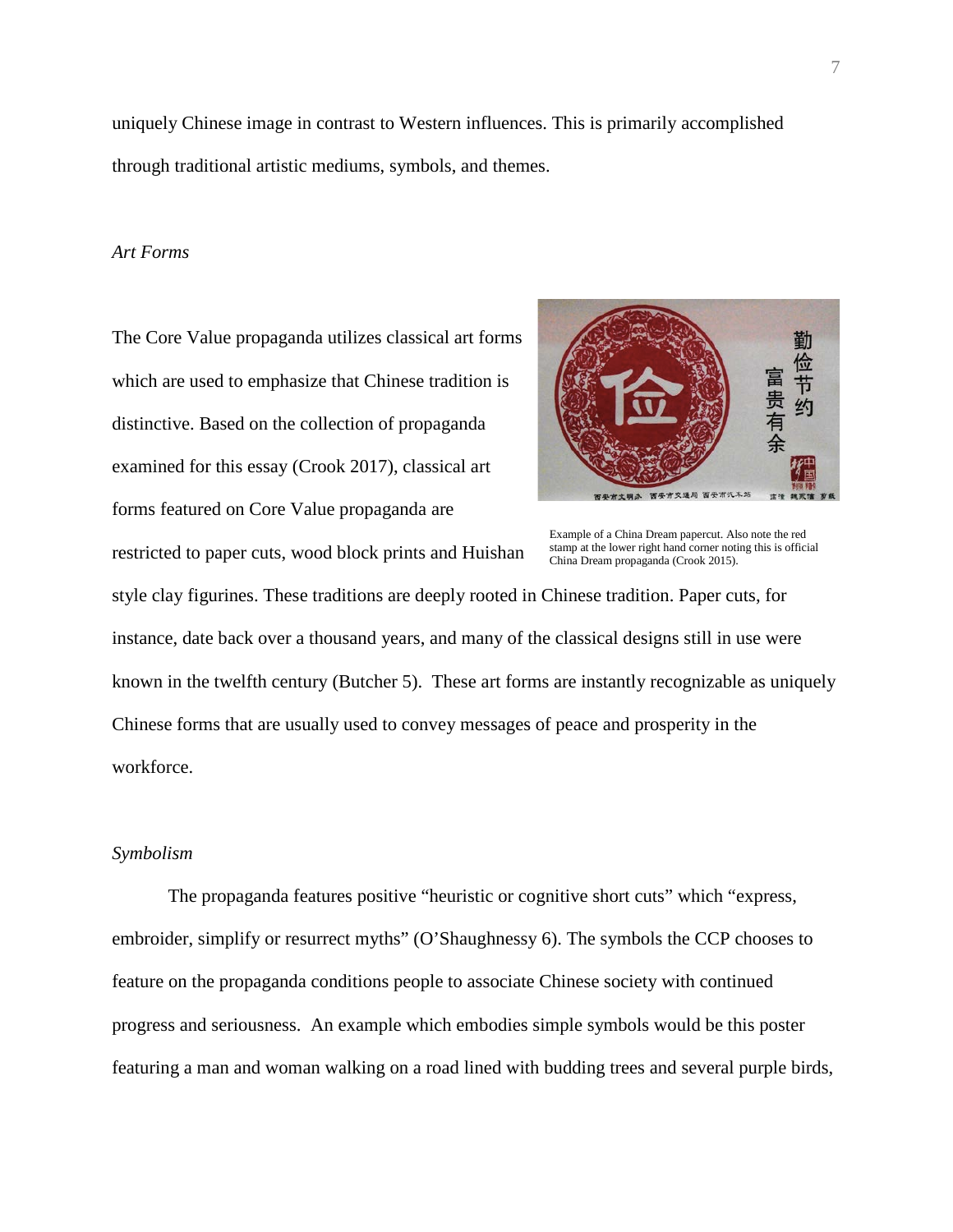uniquely Chinese image in contrast to Western influences. This is primarily accomplished through traditional artistic mediums, symbols, and themes.

### *Art Forms*

The Core Value propaganda utilizes classical art forms which are used to emphasize that Chinese tradition is distinctive. Based on the collection of propaganda examined for this essay (Crook 2017), classical art forms featured on Core Value propaganda are

restricted to paper cuts, wood block prints and Huishan



Example of a China Dream papercut. Also note the red stamp at the lower right hand corner noting this is official China Dream propaganda (Crook 2015).

style clay figurines. These traditions are deeply rooted in Chinese tradition. Paper cuts, for instance, date back over a thousand years, and many of the classical designs still in use were known in the twelfth century (Butcher 5). These art forms are instantly recognizable as uniquely Chinese forms that are usually used to convey messages of peace and prosperity in the workforce.

# *Symbolism*

The propaganda features positive "heuristic or cognitive short cuts" which "express, embroider, simplify or resurrect myths" (O'Shaughnessy 6). The symbols the CCP chooses to feature on the propaganda conditions people to associate Chinese society with continued progress and seriousness. An example which embodies simple symbols would be this poster featuring a man and woman walking on a road lined with budding trees and several purple birds,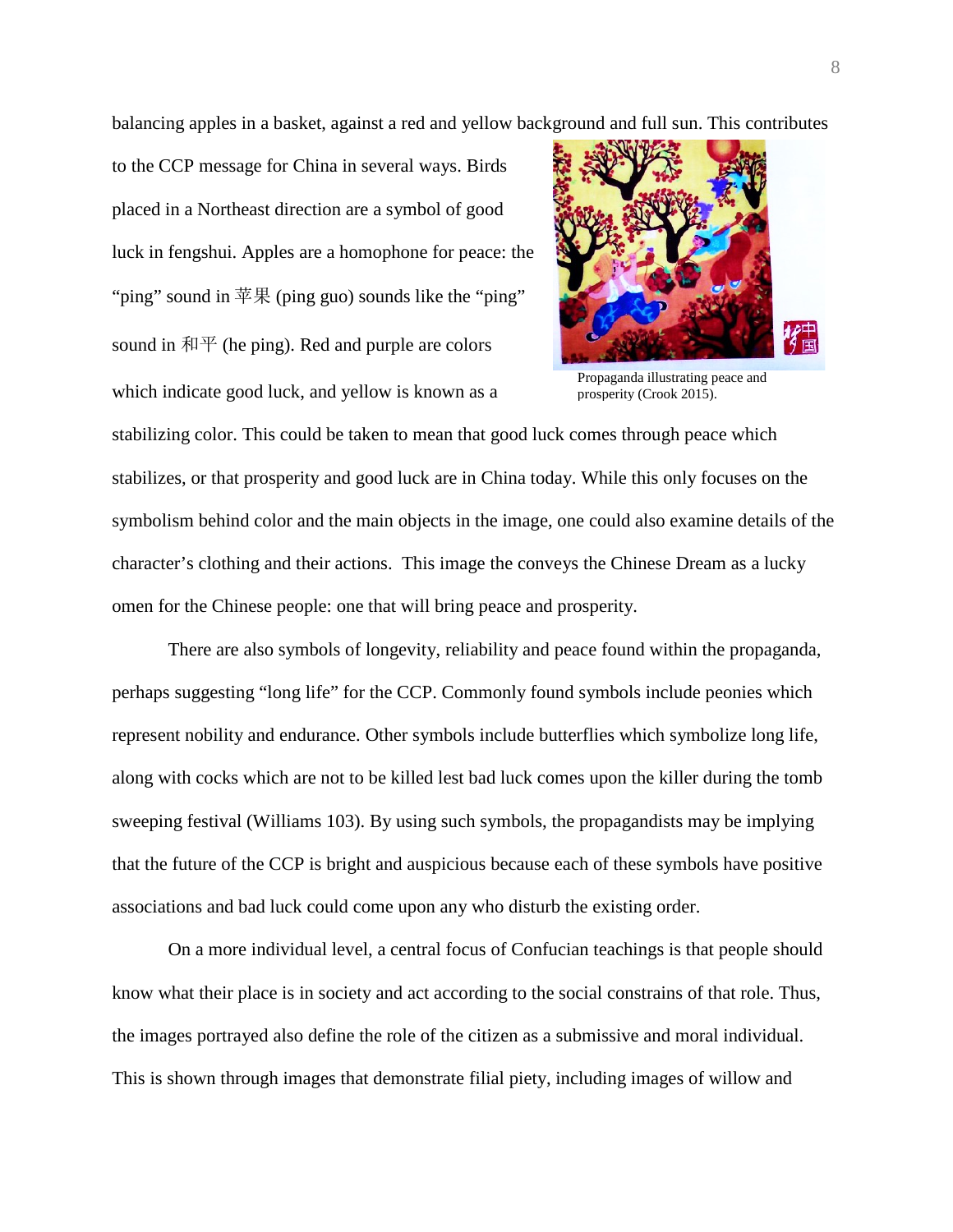balancing apples in a basket, against a red and yellow background and full sun. This contributes

to the CCP message for China in several ways. Birds placed in a Northeast direction are a symbol of good luck in fengshui. Apples are a homophone for peace: the "ping" sound in  $\# \nsubseteq$  (ping guo) sounds like the "ping" sound in  $\overline{A}$   $\overline{P}$  (he ping). Red and purple are colors which indicate good luck, and yellow is known as a



Propaganda illustrating peace and prosperity (Crook 2015).

stabilizing color. This could be taken to mean that good luck comes through peace which stabilizes, or that prosperity and good luck are in China today. While this only focuses on the symbolism behind color and the main objects in the image, one could also examine details of the character's clothing and their actions. This image the conveys the Chinese Dream as a lucky omen for the Chinese people: one that will bring peace and prosperity.

There are also symbols of longevity, reliability and peace found within the propaganda, perhaps suggesting "long life" for the CCP. Commonly found symbols include peonies which represent nobility and endurance. Other symbols include butterflies which symbolize long life, along with cocks which are not to be killed lest bad luck comes upon the killer during the tomb sweeping festival (Williams 103). By using such symbols, the propagandists may be implying that the future of the CCP is bright and auspicious because each of these symbols have positive associations and bad luck could come upon any who disturb the existing order.

On a more individual level, a central focus of Confucian teachings is that people should know what their place is in society and act according to the social constrains of that role. Thus, the images portrayed also define the role of the citizen as a submissive and moral individual. This is shown through images that demonstrate filial piety, including images of willow and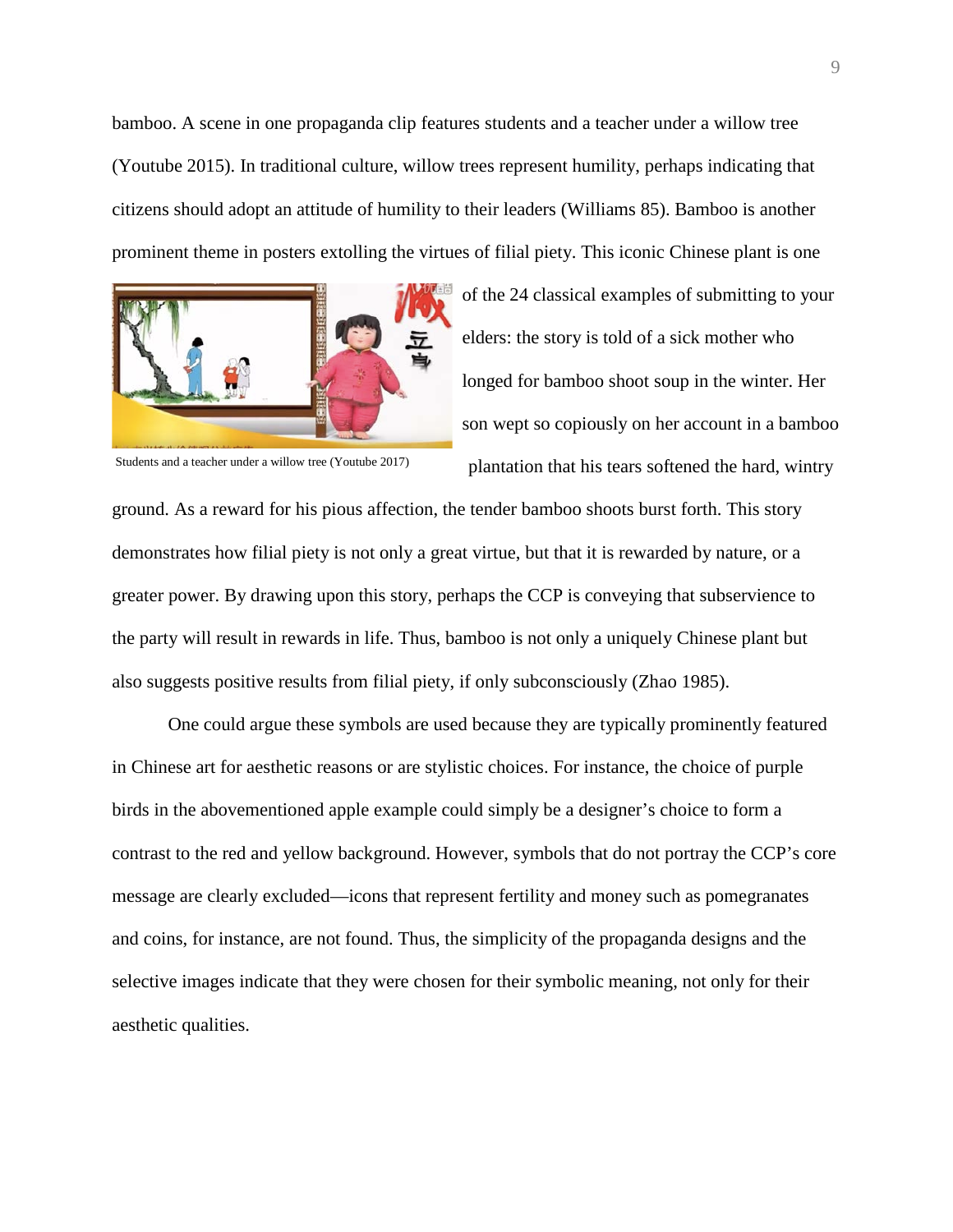bamboo. A scene in one propaganda clip features students and a teacher under a willow tree (Youtube 2015). In traditional culture, willow trees represent humility, perhaps indicating that citizens should adopt an attitude of humility to their leaders (Williams 85). Bamboo is another prominent theme in posters extolling the virtues of filial piety. This iconic Chinese plant is one



of the 24 classical examples of submitting to your elders: the story is told of a sick mother who longed for bamboo shoot soup in the winter. Her son wept so copiously on her account in a bamboo plantation that his tears softened the hard, wintry

Students and a teacher under a willow tree (Youtube 2017)

ground. As a reward for his pious affection, the tender bamboo shoots burst forth. This story demonstrates how filial piety is not only a great virtue, but that it is rewarded by nature, or a greater power. By drawing upon this story, perhaps the CCP is conveying that subservience to the party will result in rewards in life. Thus, bamboo is not only a uniquely Chinese plant but also suggests positive results from filial piety, if only subconsciously (Zhao 1985).

One could argue these symbols are used because they are typically prominently featured in Chinese art for aesthetic reasons or are stylistic choices. For instance, the choice of purple birds in the abovementioned apple example could simply be a designer's choice to form a contrast to the red and yellow background. However, symbols that do not portray the CCP's core message are clearly excluded—icons that represent fertility and money such as pomegranates and coins, for instance, are not found. Thus, the simplicity of the propaganda designs and the selective images indicate that they were chosen for their symbolic meaning, not only for their aesthetic qualities.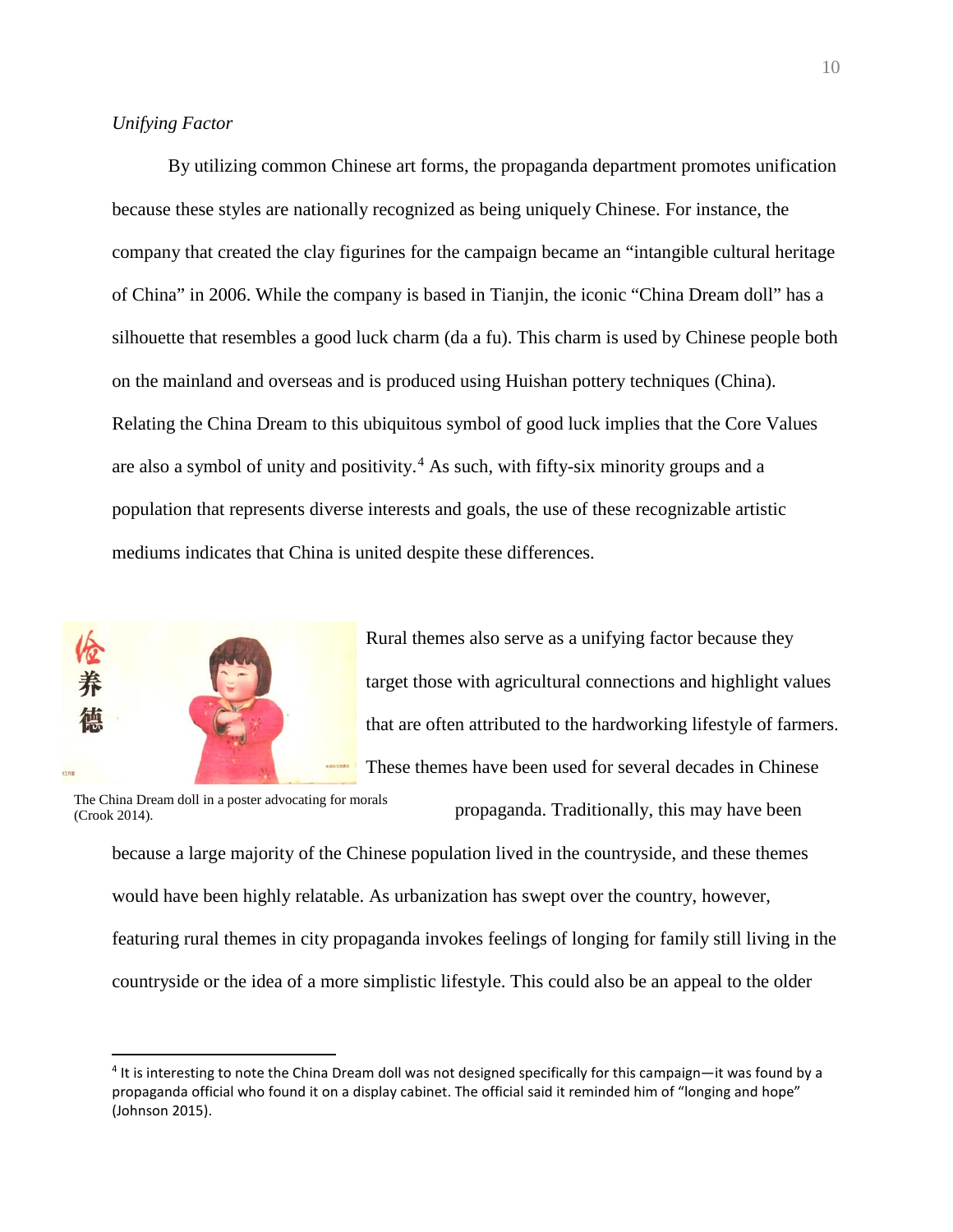# *Unifying Factor*

By utilizing common Chinese art forms, the propaganda department promotes unification because these styles are nationally recognized as being uniquely Chinese. For instance, the company that created the clay figurines for the campaign became an "intangible cultural heritage of China" in 2006. While the company is based in Tianjin, the iconic "China Dream doll" has a silhouette that resembles a good luck charm (da a fu). This charm is used by Chinese people both on the mainland and overseas and is produced using Huishan pottery techniques (China). Relating the China Dream to this ubiquitous symbol of good luck implies that the Core Values are also a symbol of unity and positivity.<sup>[4](#page-9-0)</sup> As such, with fifty-six minority groups and a population that represents diverse interests and goals, the use of these recognizable artistic mediums indicates that China is united despite these differences.



 $\overline{a}$ 

Rural themes also serve as a unifying factor because they target those with agricultural connections and highlight values that are often attributed to the hardworking lifestyle of farmers. These themes have been used for several decades in Chinese

The China Dream doll in a poster advocating for morals (Crook 2014).

propaganda. Traditionally, this may have been

because a large majority of the Chinese population lived in the countryside, and these themes would have been highly relatable. As urbanization has swept over the country, however, featuring rural themes in city propaganda invokes feelings of longing for family still living in the countryside or the idea of a more simplistic lifestyle. This could also be an appeal to the older

<span id="page-9-0"></span><sup>4</sup> It is interesting to note the China Dream doll was not designed specifically for this campaign—it was found by a propaganda official who found it on a display cabinet. The official said it reminded him of "longing and hope" (Johnson 2015).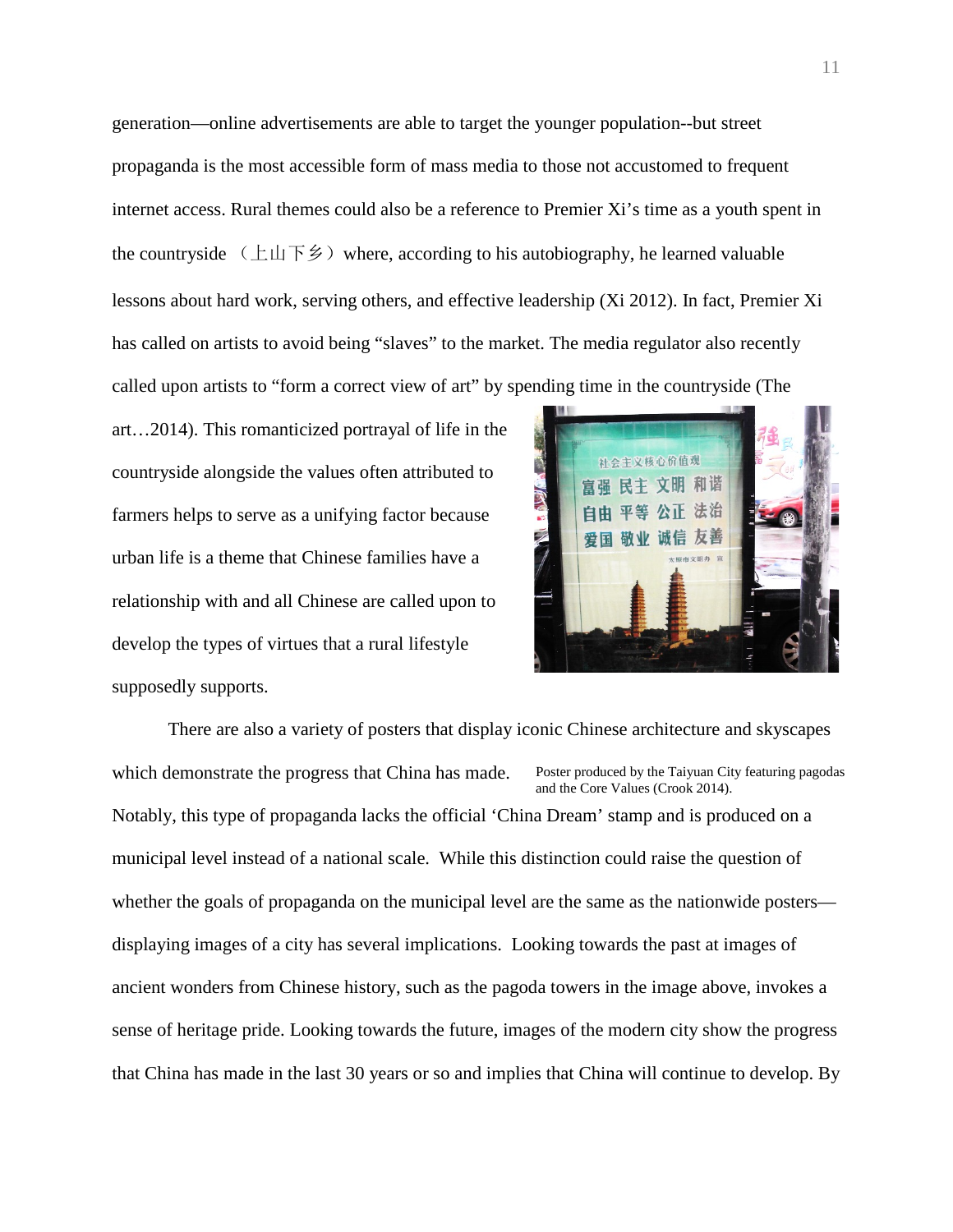generation—online advertisements are able to target the younger population--but street propaganda is the most accessible form of mass media to those not accustomed to frequent internet access. Rural themes could also be a reference to Premier Xi's time as a youth spent in the countryside  $(\pm \mu \bar{F} \hat{\mathcal{F}})$  where, according to his autobiography, he learned valuable lessons about hard work, serving others, and effective leadership (Xi 2012). In fact, Premier Xi has called on artists to avoid being "slaves" to the market. The media regulator also recently called upon artists to "form a correct view of art" by spending time in the countryside (The

art…2014). This romanticized portrayal of life in the countryside alongside the values often attributed to farmers helps to serve as a unifying factor because urban life is a theme that Chinese families have a relationship with and all Chinese are called upon to develop the types of virtues that a rural lifestyle supposedly supports.



There are also a variety of posters that display iconic Chinese architecture and skyscapes which demonstrate the progress that China has made. Notably, this type of propaganda lacks the official 'China Dream' stamp and is produced on a municipal level instead of a national scale. While this distinction could raise the question of whether the goals of propaganda on the municipal level are the same as the nationwide posters displaying images of a city has several implications. Looking towards the past at images of ancient wonders from Chinese history, such as the pagoda towers in the image above, invokes a sense of heritage pride. Looking towards the future, images of the modern city show the progress that China has made in the last 30 years or so and implies that China will continue to develop. By Poster produced by the Taiyuan City featuring pagodas and the Core Values (Crook 2014).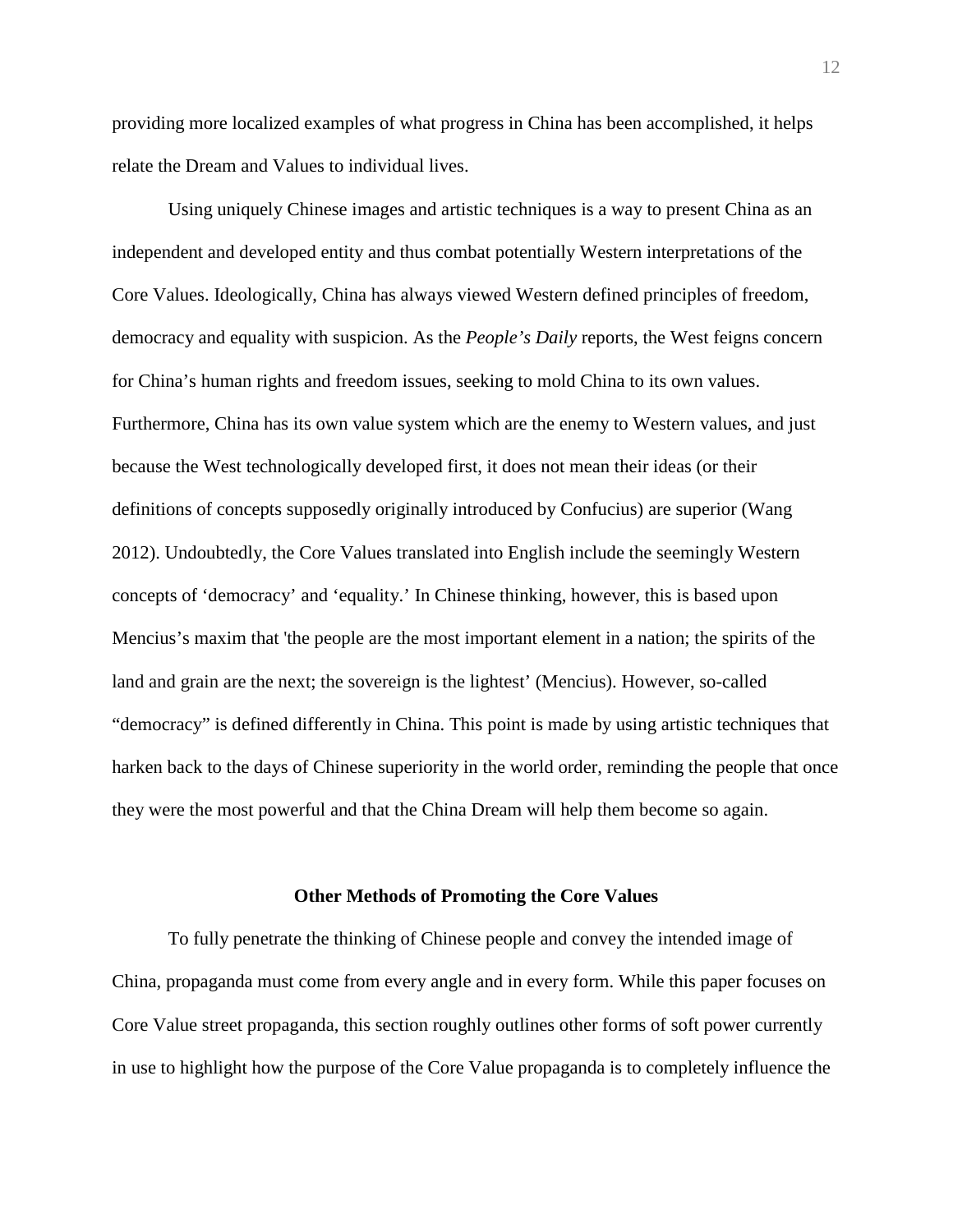providing more localized examples of what progress in China has been accomplished, it helps relate the Dream and Values to individual lives.

Using uniquely Chinese images and artistic techniques is a way to present China as an independent and developed entity and thus combat potentially Western interpretations of the Core Values. Ideologically, China has always viewed Western defined principles of freedom, democracy and equality with suspicion. As the *People's Daily* reports, the West feigns concern for China's human rights and freedom issues, seeking to mold China to its own values. Furthermore, China has its own value system which are the enemy to Western values, and just because the West technologically developed first, it does not mean their ideas (or their definitions of concepts supposedly originally introduced by Confucius) are superior (Wang 2012). Undoubtedly, the Core Values translated into English include the seemingly Western concepts of 'democracy' and 'equality.' In Chinese thinking, however, this is based upon Mencius's maxim that 'the people are the most important element in a nation; the spirits of the land and grain are the next; the sovereign is the lightest' (Mencius). However, so-called "democracy" is defined differently in China. This point is made by using artistic techniques that harken back to the days of Chinese superiority in the world order, reminding the people that once they were the most powerful and that the China Dream will help them become so again.

#### **Other Methods of Promoting the Core Values**

To fully penetrate the thinking of Chinese people and convey the intended image of China, propaganda must come from every angle and in every form. While this paper focuses on Core Value street propaganda, this section roughly outlines other forms of soft power currently in use to highlight how the purpose of the Core Value propaganda is to completely influence the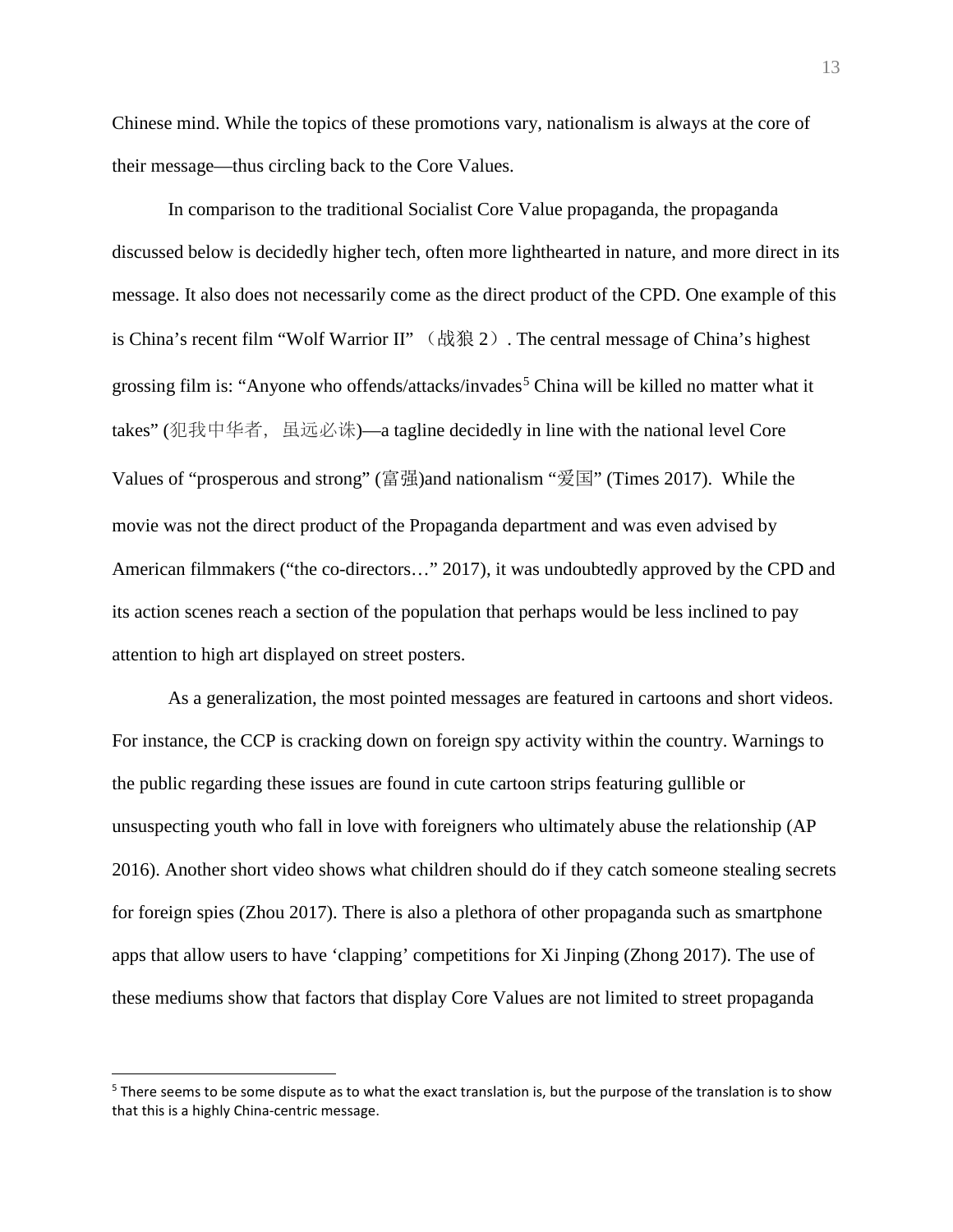Chinese mind. While the topics of these promotions vary, nationalism is always at the core of their message—thus circling back to the Core Values.

In comparison to the traditional Socialist Core Value propaganda, the propaganda discussed below is decidedly higher tech, often more lighthearted in nature, and more direct in its message. It also does not necessarily come as the direct product of the CPD. One example of this is China's recent film "Wolf Warrior II" (战狼 2). The central message of China's highest grossing film is: "Anyone who offends/attacks/invades<sup>[5](#page-12-0)</sup> China will be killed no matter what it takes" (犯我中华者, 虽远必诛)—a tagline decidedly in line with the national level Core Values of "prosperous and strong" (富强)and nationalism "爱国" (Times 2017). While the movie was not the direct product of the Propaganda department and was even advised by American filmmakers ("the co-directors…" 2017), it was undoubtedly approved by the CPD and its action scenes reach a section of the population that perhaps would be less inclined to pay attention to high art displayed on street posters.

As a generalization, the most pointed messages are featured in cartoons and short videos. For instance, the CCP is cracking down on foreign spy activity within the country. Warnings to the public regarding these issues are found in cute cartoon strips featuring gullible or unsuspecting youth who fall in love with foreigners who ultimately abuse the relationship (AP 2016). Another short video shows what children should do if they catch someone stealing secrets for foreign spies (Zhou 2017). There is also a plethora of other propaganda such as smartphone apps that allow users to have 'clapping' competitions for Xi Jinping (Zhong 2017). The use of these mediums show that factors that display Core Values are not limited to street propaganda

 $\overline{a}$ 

<span id="page-12-0"></span><sup>&</sup>lt;sup>5</sup> There seems to be some dispute as to what the exact translation is, but the purpose of the translation is to show that this is a highly China-centric message.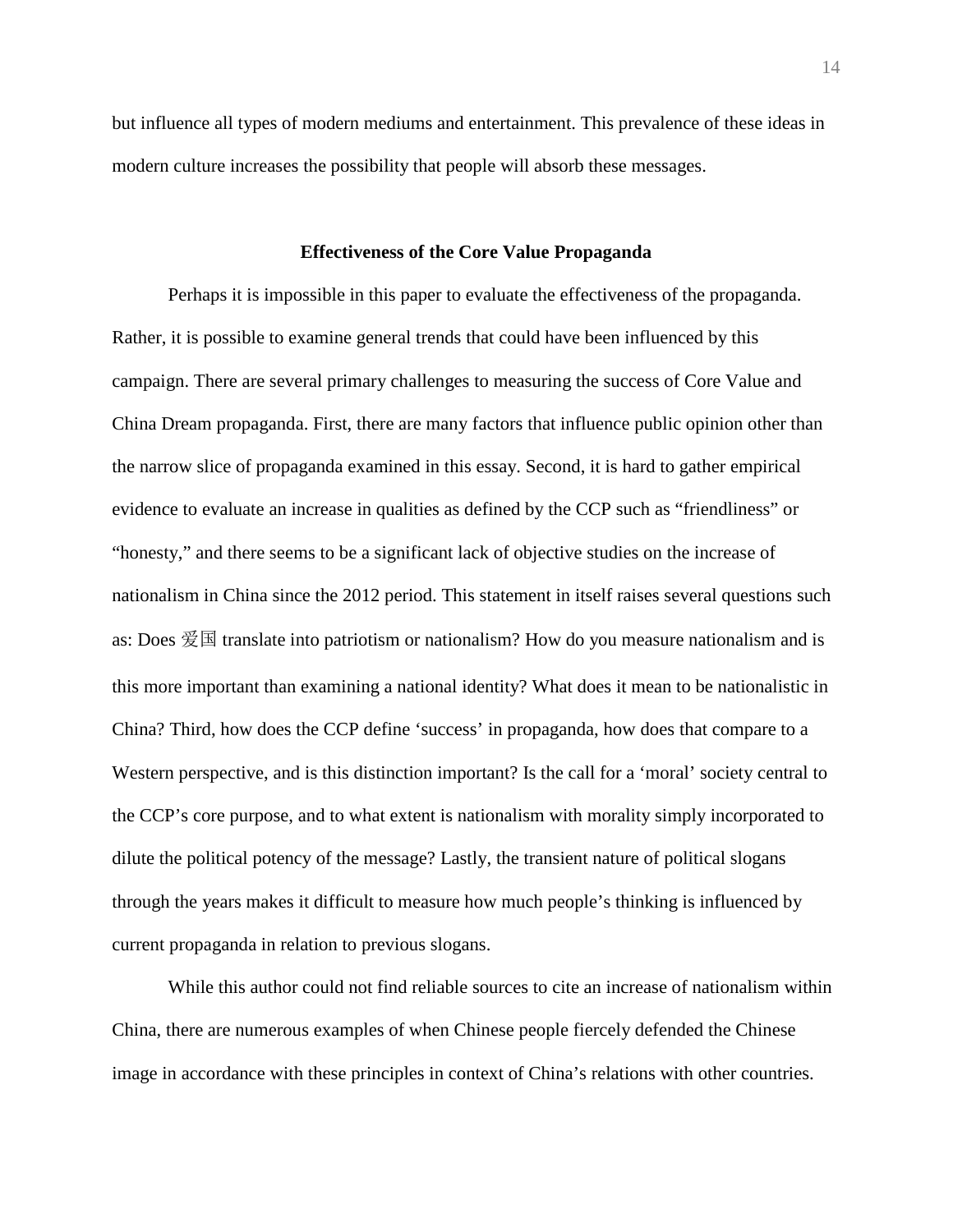but influence all types of modern mediums and entertainment. This prevalence of these ideas in modern culture increases the possibility that people will absorb these messages.

#### **Effectiveness of the Core Value Propaganda**

Perhaps it is impossible in this paper to evaluate the effectiveness of the propaganda. Rather, it is possible to examine general trends that could have been influenced by this campaign. There are several primary challenges to measuring the success of Core Value and China Dream propaganda. First, there are many factors that influence public opinion other than the narrow slice of propaganda examined in this essay. Second, it is hard to gather empirical evidence to evaluate an increase in qualities as defined by the CCP such as "friendliness" or "honesty," and there seems to be a significant lack of objective studies on the increase of nationalism in China since the 2012 period. This statement in itself raises several questions such as: Does 爱国 translate into patriotism or nationalism? How do you measure nationalism and is this more important than examining a national identity? What does it mean to be nationalistic in China? Third, how does the CCP define 'success' in propaganda, how does that compare to a Western perspective, and is this distinction important? Is the call for a 'moral' society central to the CCP's core purpose, and to what extent is nationalism with morality simply incorporated to dilute the political potency of the message? Lastly, the transient nature of political slogans through the years makes it difficult to measure how much people's thinking is influenced by current propaganda in relation to previous slogans.

While this author could not find reliable sources to cite an increase of nationalism within China, there are numerous examples of when Chinese people fiercely defended the Chinese image in accordance with these principles in context of China's relations with other countries.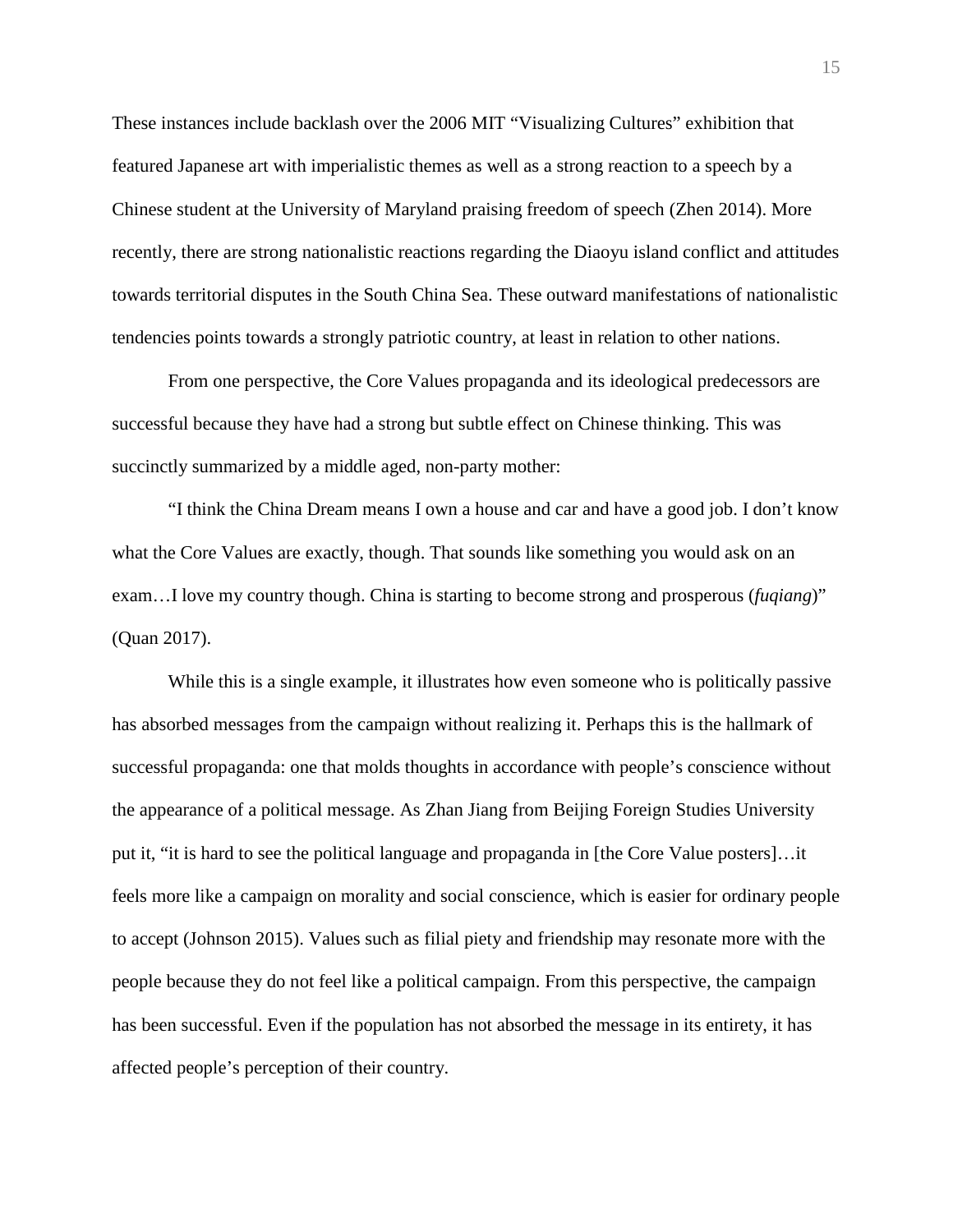These instances include backlash over the 2006 MIT "Visualizing Cultures" exhibition that featured Japanese art with imperialistic themes as well as a strong reaction to a speech by a Chinese student at the University of Maryland praising freedom of speech (Zhen 2014). More recently, there are strong nationalistic reactions regarding the Diaoyu island conflict and attitudes towards territorial disputes in the South China Sea. These outward manifestations of nationalistic tendencies points towards a strongly patriotic country, at least in relation to other nations.

From one perspective, the Core Values propaganda and its ideological predecessors are successful because they have had a strong but subtle effect on Chinese thinking. This was succinctly summarized by a middle aged, non-party mother:

"I think the China Dream means I own a house and car and have a good job. I don't know what the Core Values are exactly, though. That sounds like something you would ask on an exam…I love my country though. China is starting to become strong and prosperous (*fuqiang*)" (Quan 2017).

While this is a single example, it illustrates how even someone who is politically passive has absorbed messages from the campaign without realizing it. Perhaps this is the hallmark of successful propaganda: one that molds thoughts in accordance with people's conscience without the appearance of a political message. As Zhan Jiang from Beijing Foreign Studies University put it, "it is hard to see the political language and propaganda in [the Core Value posters]…it feels more like a campaign on morality and social conscience, which is easier for ordinary people to accept (Johnson 2015). Values such as filial piety and friendship may resonate more with the people because they do not feel like a political campaign. From this perspective, the campaign has been successful. Even if the population has not absorbed the message in its entirety, it has affected people's perception of their country.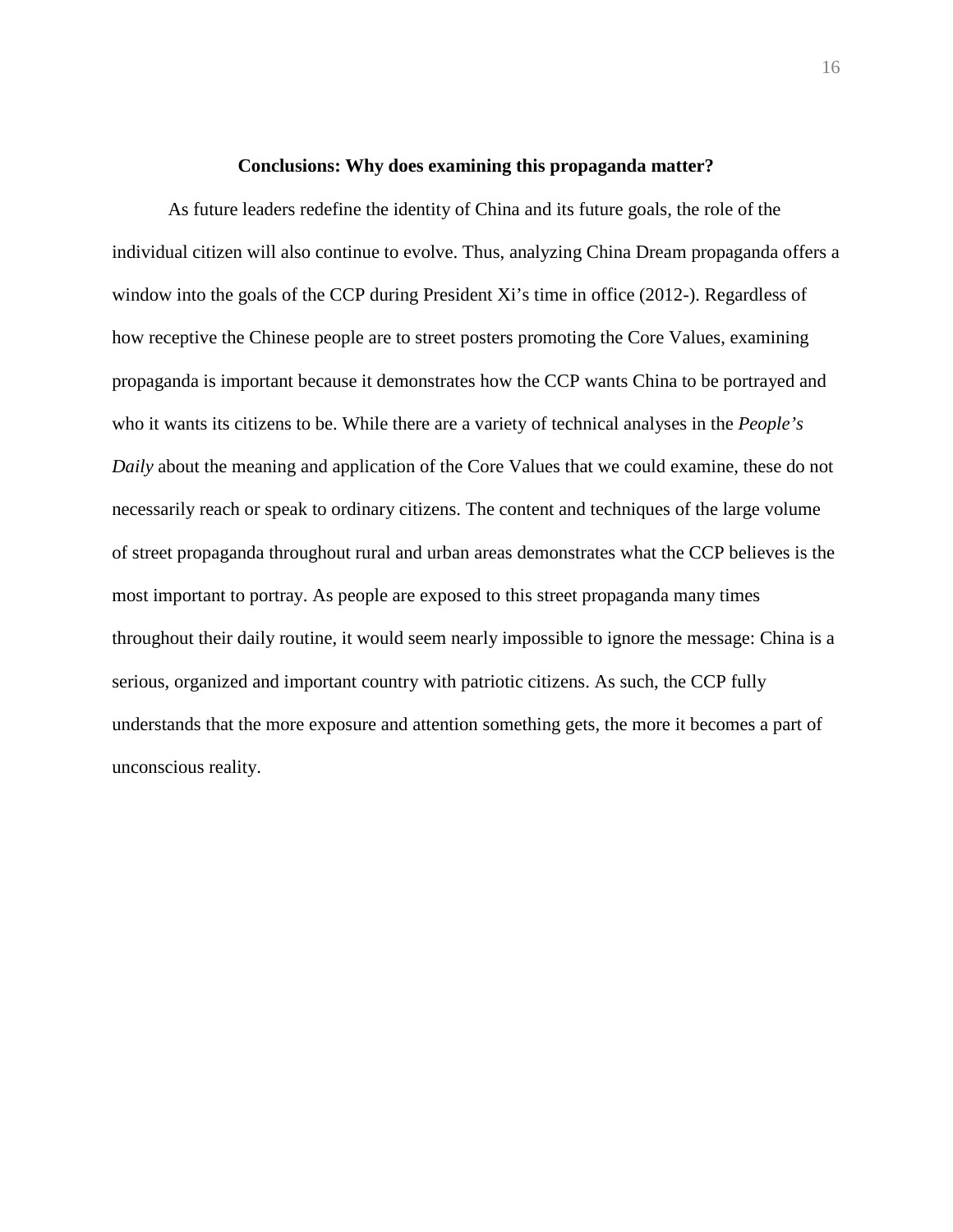#### **Conclusions: Why does examining this propaganda matter?**

As future leaders redefine the identity of China and its future goals, the role of the individual citizen will also continue to evolve. Thus, analyzing China Dream propaganda offers a window into the goals of the CCP during President Xi's time in office (2012-). Regardless of how receptive the Chinese people are to street posters promoting the Core Values, examining propaganda is important because it demonstrates how the CCP wants China to be portrayed and who it wants its citizens to be. While there are a variety of technical analyses in the *People's Daily* about the meaning and application of the Core Values that we could examine, these do not necessarily reach or speak to ordinary citizens. The content and techniques of the large volume of street propaganda throughout rural and urban areas demonstrates what the CCP believes is the most important to portray. As people are exposed to this street propaganda many times throughout their daily routine, it would seem nearly impossible to ignore the message: China is a serious, organized and important country with patriotic citizens. As such, the CCP fully understands that the more exposure and attention something gets, the more it becomes a part of unconscious reality.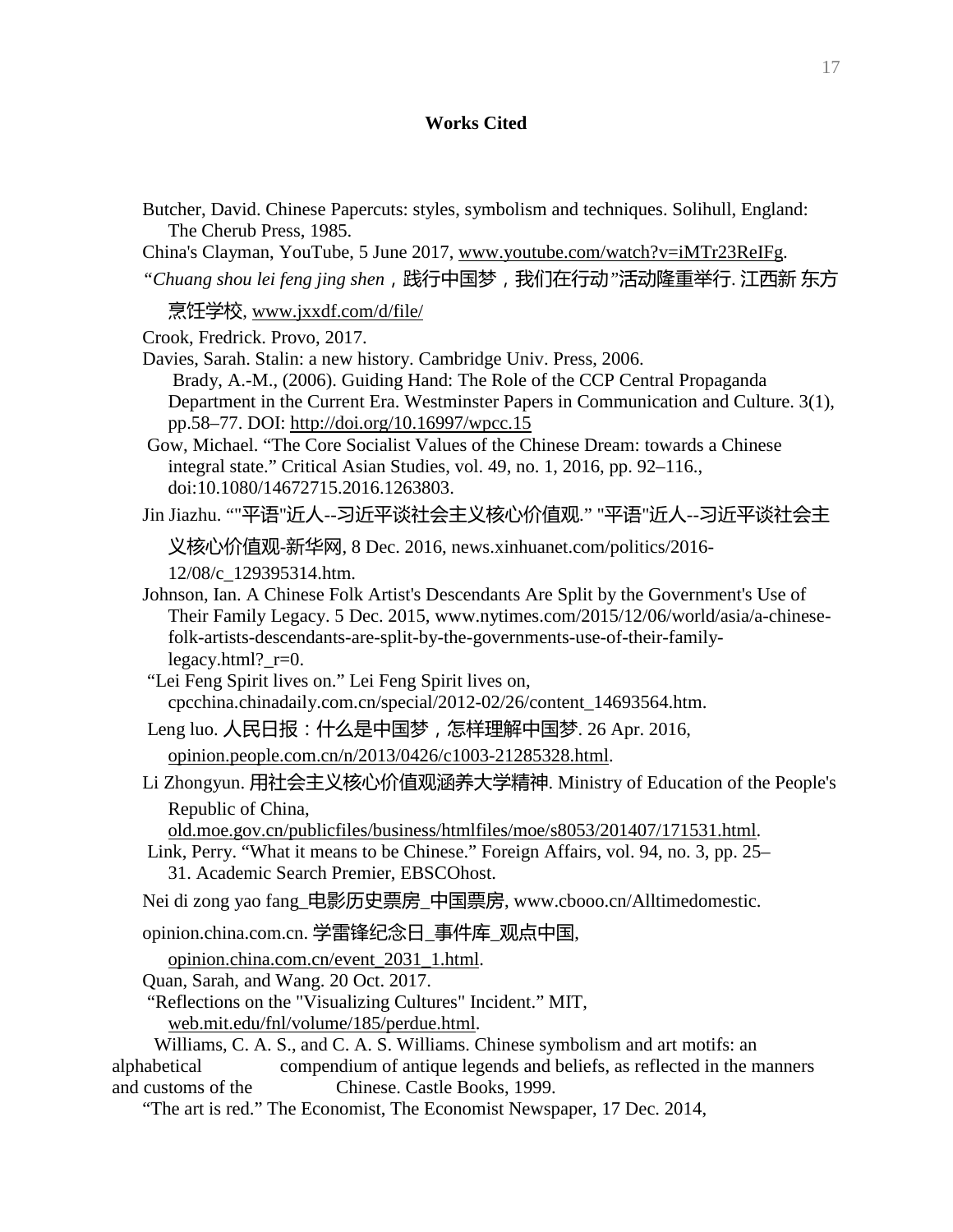# **Works Cited**

- Butcher, David. Chinese Papercuts: styles, symbolism and techniques. Solihull, England: The Cherub Press, 1985.
- China's Clayman, YouTube, 5 June 2017, [www.youtube.com/watch?v=iMTr23ReIFg.](http://www.youtube.com/watch?v=iMTr23ReIFg)
- *"Chuang shou lei feng jing shen*,践行中国梦,我们在行动*"*活动隆重举行. 江西新 东方

烹饪学校, [www.jxxdf.com/d/file/](http://www.jxxdf.com/d/file/)

Crook, Fredrick. Provo, 2017.

- Davies, Sarah. Stalin: a new history. Cambridge Univ. Press, 2006. Brady, A.-M., (2006). Guiding Hand: The Role of the CCP Central Propaganda Department in the Current Era. Westminster Papers in Communication and Culture. 3(1), pp.58–77. DOI: <http://doi.org/10.16997/wpcc.15>
- Gow, Michael. "The Core Socialist Values of the Chinese Dream: towards a Chinese integral state." Critical Asian Studies, vol. 49, no. 1, 2016, pp. 92–116., doi:10.1080/14672715.2016.1263803.

Jin Jiazhu. ""平语"近人--习近平谈社会主义核心价值观." "平语"近人--习近平谈社会主

义核心价值观-新华网, 8 Dec. 2016, news.xinhuanet.com/politics/2016-

12/08/c\_129395314.htm.

Johnson, Ian. A Chinese Folk Artist's Descendants Are Split by the Government's Use of Their Family Legacy. 5 Dec. 2015, www.nytimes.com/2015/12/06/world/asia/a-chinesefolk-artists-descendants-are-split-by-the-governments-use-of-their-familylegacy.html?\_r=0.

"Lei Feng Spirit lives on." Lei Feng Spirit lives on, cpcchina.chinadaily.com.cn/special/2012-02/26/content\_14693564.htm.

Leng luo. 人民日报:什么是中国梦,怎样理解中国梦. 26 Apr. 2016, [opinion.people.com.cn/n/2013/0426/c1003-21285328.html.](http://opinion.people.com.cn/n/2013/0426/c1003-21285328.html)

Li Zhongyun. 用社会主义核心价值观涵养大学精神. Ministry of Education of the People's Republic of China,

[old.moe.gov.cn/publicfiles/business/htmlfiles/moe/s8053/201407/171531.html.](http://old.moe.gov.cn/publicfiles/business/htmlfiles/moe/s8053/201407/171531.html)

Link, Perry. "What it means to be Chinese." Foreign Affairs, vol. 94, no. 3, pp. 25– 31. Academic Search Premier, EBSCOhost.

Nei di zong yao fang 电影历史票房 中国票房, www.cbooo.cn/Alltimedomestic.

opinion.china.com.cn. 学雷锋纪念日\_事件库\_观点中国,

[opinion.china.com.cn/event\\_2031\\_1.html.](http://opinion.china.com.cn/event_2031_1.html)

Quan, Sarah, and Wang. 20 Oct. 2017.

"Reflections on the "Visualizing Cultures" Incident." MIT,

[web.mit.edu/fnl/volume/185/perdue.html.](http://web.mit.edu/fnl/volume/185/perdue.html)

 Williams, C. A. S., and C. A. S. Williams. Chinese symbolism and art motifs: an alphabetical compendium of antique legends and beliefs, as reflected in the manners and customs of the Chinese. Castle Books, 1999.

"The art is red." The Economist, The Economist Newspaper, 17 Dec. 2014,